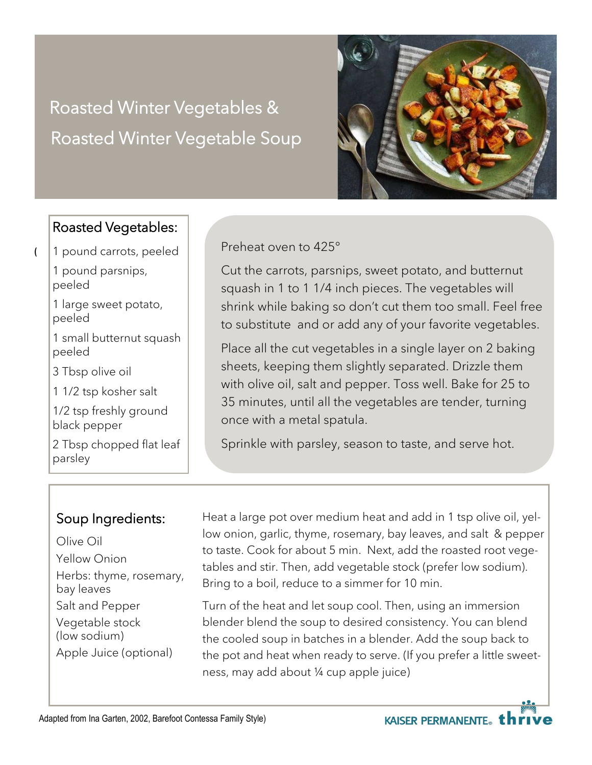# Roasted Winter Vegetables & Roasted Winter Vegetable Soup



#### Roasted Vegetables:

1 pound carrots, peeled

1 pound parsnips, peeled

**(**

1 large sweet potato, peeled

1 small butternut squash peeled

3 Tbsp olive oil

1 1/2 tsp kosher salt

1/2 tsp freshly ground black pepper

2 Tbsp chopped flat leaf parsley

#### Preheat oven to 425°

Cut the carrots, parsnips, sweet potato, and butternut squash in 1 to 1 1/4 inch pieces. The vegetables will shrink while baking so don't cut them too small. Feel free to substitute and or add any of your favorite vegetables.

Place all the cut vegetables in a single layer on 2 baking sheets, keeping them slightly separated. Drizzle them with olive oil, salt and pepper. Toss well. Bake for 25 to 35 minutes, until all the vegetables are tender, turning once with a metal spatula.

Sprinkle with parsley, season to taste, and serve hot.

#### Soup Ingredients:

Olive Oil Yellow Onion Herbs: thyme, rosemary, bay leaves Salt and Pepper Vegetable stock (low sodium) Apple Juice (optional)

Heat a large pot over medium heat and add in 1 tsp olive oil, yellow onion, garlic, thyme, rosemary, bay leaves, and salt & pepper to taste. Cook for about 5 min. Next, add the roasted root vegetables and stir. Then, add vegetable stock (prefer low sodium). Bring to a boil, reduce to a simmer for 10 min.

Turn of the heat and let soup cool. Then, using an immersion blender blend the soup to desired consistency. You can blend the cooled soup in batches in a blender. Add the soup back to the pot and heat when ready to serve. (If you prefer a little sweetness, may add about ¼ cup apple juice)